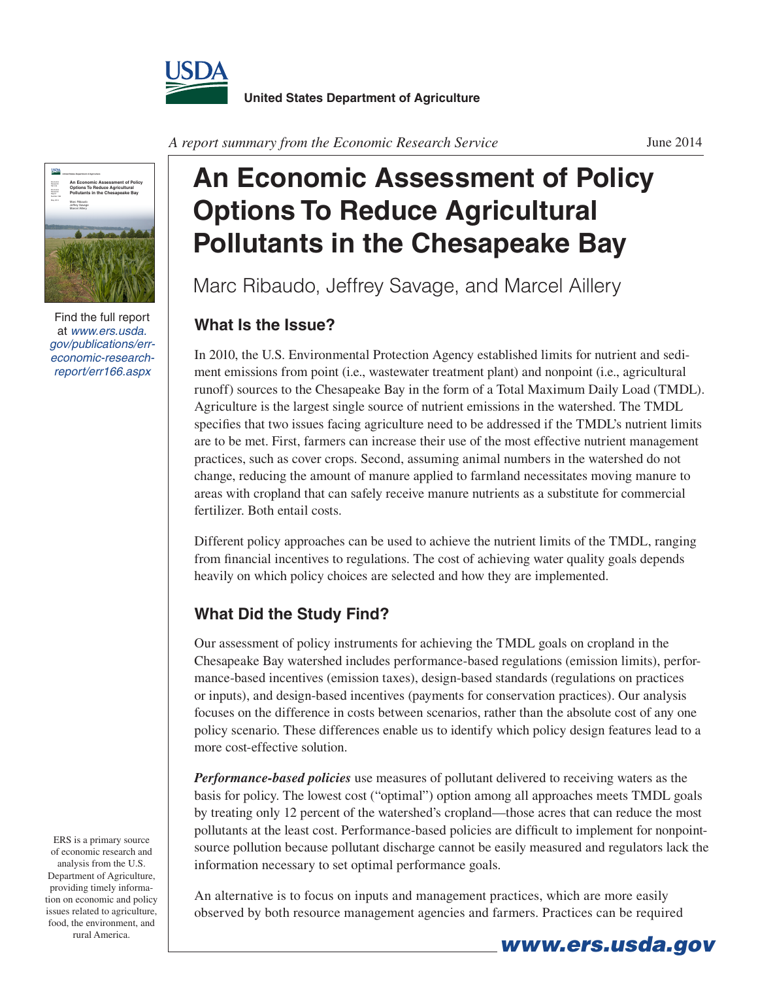



Find the full report at *www.ers.usda. gov/publications/erreconomic-researchreport/err166.aspx*

ERS is a primary source of economic research and analysis from the U.S. Department of Agriculture, providing timely information on economic and policy issues related to agriculture, food, the environment, and rural America.

## **An Economic Assessment of Policy Options To Reduce Agricultural Pollutants in the Chesapeake Bay**

Marc Ribaudo, Jeffrey Savage, and Marcel Aillery

## **What Is the Issue?**

In 2010, the U.S. Environmental Protection Agency established limits for nutrient and sediment emissions from point (i.e., wastewater treatment plant) and nonpoint (i.e., agricultural runoff) sources to the Chesapeake Bay in the form of a Total Maximum Daily Load (TMDL). Agriculture is the largest single source of nutrient emissions in the watershed. The TMDL specifies that two issues facing agriculture need to be addressed if the TMDL's nutrient limits are to be met. First, farmers can increase their use of the most effective nutrient management practices, such as cover crops. Second, assuming animal numbers in the watershed do not change, reducing the amount of manure applied to farmland necessitates moving manure to areas with cropland that can safely receive manure nutrients as a substitute for commercial fertilizer. Both entail costs.

Different policy approaches can be used to achieve the nutrient limits of the TMDL, ranging from financial incentives to regulations. The cost of achieving water quality goals depends heavily on which policy choices are selected and how they are implemented.

## **What Did the Study Find?**

Our assessment of policy instruments for achieving the TMDL goals on cropland in the Chesapeake Bay watershed includes performance-based regulations (emission limits), performance-based incentives (emission taxes), design-based standards (regulations on practices or inputs), and design-based incentives (payments for conservation practices). Our analysis focuses on the difference in costs between scenarios, rather than the absolute cost of any one policy scenario. These differences enable us to identify which policy design features lead to a more cost-effective solution.

*Performance-based policies* use measures of pollutant delivered to receiving waters as the basis for policy. The lowest cost ("optimal") option among all approaches meets TMDL goals by treating only 12 percent of the watershed's cropland—those acres that can reduce the most pollutants at the least cost. Performance-based policies are difficult to implement for nonpointsource pollution because pollutant discharge cannot be easily measured and regulators lack the information necessary to set optimal performance goals.

An alternative is to focus on inputs and management practices, which are more easily observed by both resource management agencies and farmers. Practices can be required

*www.ers.usda.gov*